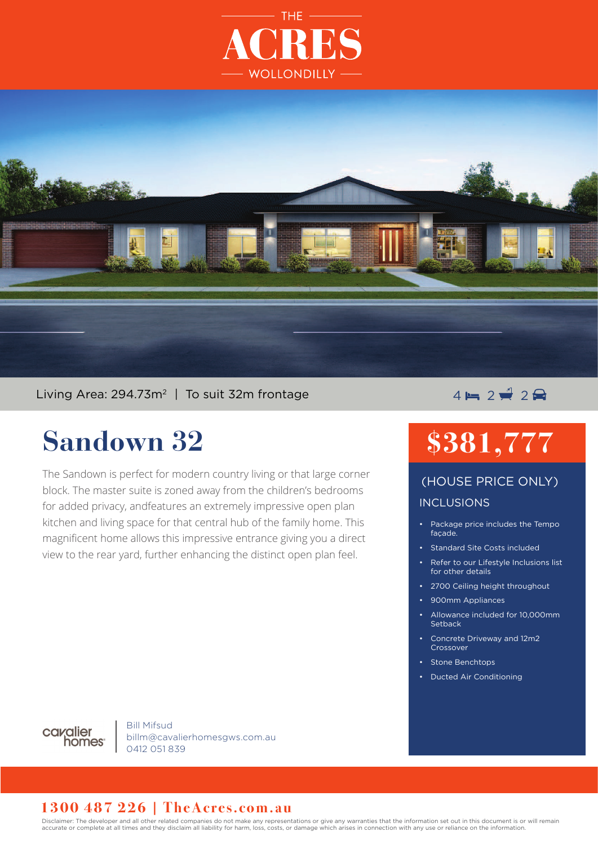



### Living Area: 294.73m<sup>2</sup> | To suit 32m frontage  $\overline{4} = 2 \neq 2 \implies 2 \neq 3$

# **Sandown 32**

The Sandown is perfect for modern country living or that large corner block. The master suite is zoned away from the children's bedrooms for added privacy, andfeatures an extremely impressive open plan kitchen and living space for that central hub of the family home. This magnificent home allows this impressive entrance giving you a direct view to the rear yard, further enhancing the distinct open plan feel.

# **\$381,777**

### INCLUSIONS (HOUSE PRICE ONLY)

- Package price includes the Tempo façade.
- Standard Site Costs included
- Refer to our Lifestyle Inclusions list for other details
- 2700 Ceiling height throughout
- 900mm Appliances
- Allowance included for 10,000mm **Setback**
- Concrete Driveway and 12m2 Crossover
- Stone Benchtops
- Ducted Air Conditioning



Bill Mifsud billm@cavalierhomesgws.com.au 0412 051 839

#### **1300 487 226 | TheAcres.com.au**

Disclaimer: The developer and all other related companies do not make any representations or give any warranties that the information set out in this document is or will remain accurate or complete at all times and they disclaim all liability for harm, loss, costs, or damage which arises in connection with any use or reliance on the information.